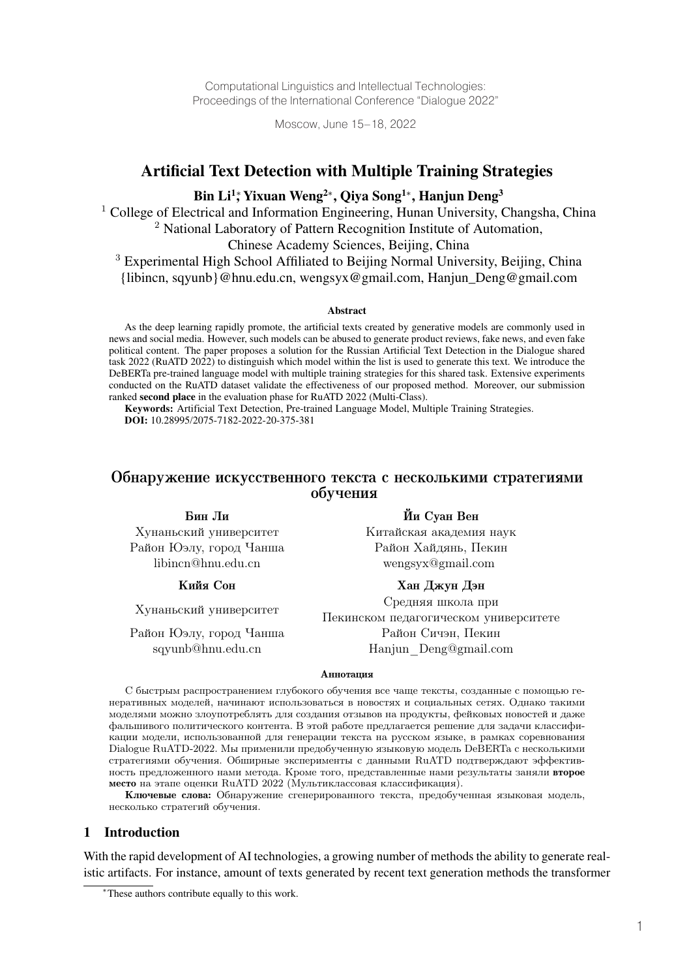Computational Linguistics and Intellectual Technologies: Proceedings of the International Conference "Dialogue 2022"

Moscow, June 15–18, 2022

# Artificial Text Detection with Multiple Training Strategies

## Bin Li<sup>1</sup>; Yixuan Weng<sup>2</sup>\*, Qiya Song<sup>1</sup>\*, Hanjun Deng<sup>3</sup>

<sup>1</sup> College of Electrical and Information Engineering, Hunan University, Changsha, China <sup>2</sup> National Laboratory of Pattern Recognition Institute of Automation,

Chinese Academy Sciences, Beijing, China

<sup>3</sup> Experimental High School Affiliated to Beijing Normal University, Beijing, China {libincn, sqyunb}@hnu.edu.cn, wengsyx@gmail.com, Hanjun\_Deng@gmail.com

#### Abstract

As the deep learning rapidly promote, the artificial texts created by generative models are commonly used in news and social media. However, such models can be abused to generate product reviews, fake news, and even fake political content. The paper proposes a solution for the Russian Artificial Text Detection in the Dialogue shared task 2022 (RuATD 2022) to distinguish which model within the list is used to generate this text. We introduce the DeBERTa pre-trained language model with multiple training strategies for this shared task. Extensive experiments conducted on the RuATD dataset validate the effectiveness of our proposed method. Moreover, our submission ranked second place in the evaluation phase for RuATD 2022 (Multi-Class).

Keywords: Artificial Text Detection, Pre-trained Language Model, Multiple Training Strategies. DOI: 10.28995/2075-7182-2022-20-375-381

#### Обнаружение искусственного текста с несколькими стратегиями обучения

Район Юэлу, город Чанша Район Хайдянь, Пекин

Бин Ли Йи Суан Вен

Хунаньский университет Китайская академия наук libincn@hnu.edu.cn wengsyx@gmail.com

#### Кийя Сон Хан Джун Дэн

Хунаньский университет Средняя школа при Пекинском педагогическом университете Район Юэлу, город Чанша Район Сичэн, Пекин sqyunb@hnu.edu.cn Hanjun\_Deng@gmail.com

#### Аннотация

С быстрым распространением глубокого обучения все чаще тексты, созданные с помощью генеративных моделей, начинают использоваться в новостях и социальных сетях. Однако такими моделями можно злоупотреблять для создания отзывов на продукты, фейковых новостей и даже фальшивого политического контента. В этой работе предлагается решение для задачи классификации модели, использованной для генерации текста на русском языке, в рамках соревнования Dialogue RuATD-2022. Мы применили предобученную языковую модель DeBERTa с несколькими стратегиями обучения. Обширные эксперименты с данными RuATD подтверждают эффективность предложенного нами метода. Кроме того, представленные нами результаты заняли второе место на этапе оценки RuATD 2022 (Мультиклассовая классификация).

Ключевые слова: Обнаружение сгенерированного текста, предобученная языковая модель, несколько стратегий обучения.

#### 1 Introduction

With the rapid development of AI technologies, a growing number of methods the ability to generate realistic artifacts. For instance, amount of texts generated by recent text generation methods the transformer

<sup>\*</sup>These authors contribute equally to this work.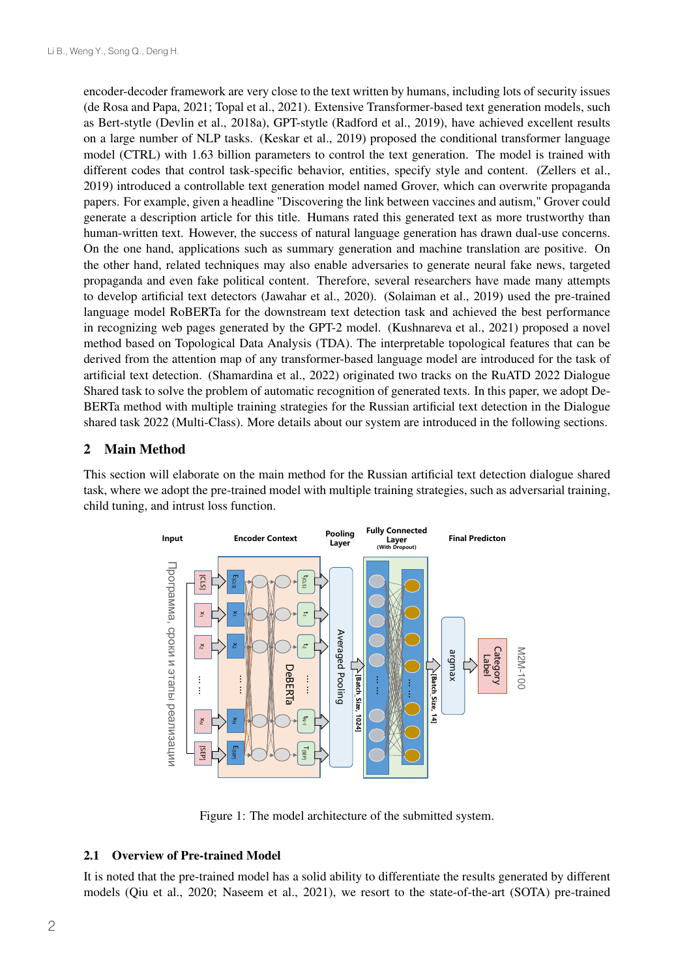encoder-decoder framework are very close to the text written by humans, including lots of security issues (de Rosa and Papa, 2021; Topal et al., 2021). Extensive Transformer-based text generation models, such as Bert-stytle (Devlin et al., 2018a), GPT-stytle (Radford et al., 2019), have achieved excellent results on a large number of NLP tasks. (Keskar et al., 2019) proposed the conditional transformer language model (CTRL) with 1.63 billion parameters to control the text generation. The model is trained with different codes that control task-specific behavior, entities, specify style and content. (Zellers et al., 2019) introduced a controllable text generation model named Grover, which can overwrite propaganda papers. For example, given a headline "Discovering the link between vaccines and autism," Grover could generate a description article for this title. Humans rated this generated text as more trustworthy than human-written text. However, the success of natural language generation has drawn dual-use concerns. On the one hand, applications such as summary generation and machine translation are positive. On the other hand, related techniques may also enable adversaries to generate neural fake news, targeted propaganda and even fake political content. Therefore, several researchers have made many attempts to develop artificial text detectors (Jawahar et al., 2020). (Solaiman et al., 2019) used the pre-trained language model RoBERTa for the downstream text detection task and achieved the best performance in recognizing web pages generated by the GPT-2 model. (Kushnareva et al., 2021) proposed a novel method based on Topological Data Analysis (TDA). The interpretable topological features that can be derived from the attention map of any transformer-based language model are introduced for the task of artificial text detection. (Shamardina et al., 2022) originated two tracks on the RuATD 2022 Dialogue Shared task to solve the problem of automatic recognition of generated texts. In this paper, we adopt De-BERTa method with multiple training strategies for the Russian artificial text detection in the Dialogue shared task 2022 (Multi-Class). More details about our system are introduced in the following sections.

## 2 Main Method

This section will elaborate on the main method for the Russian artificial text detection dialogue shared task, where we adopt the pre-trained model with multiple training strategies, such as adversarial training, child tuning, and intrust loss function.



Figure 1: The model architecture of the submitted system.

## 2.1 Overview of Pre-trained Model

It is noted that the pre-trained model has a solid ability to differentiate the results generated by different models (Qiu et al., 2020; Naseem et al., 2021), we resort to the state-of-the-art (SOTA) pre-trained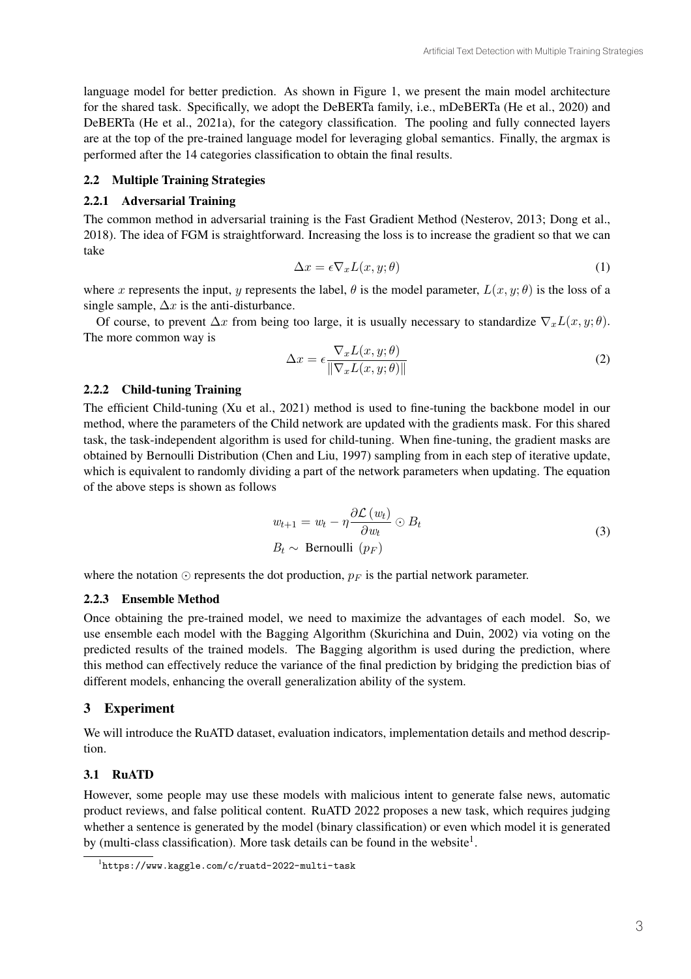language model for better prediction. As shown in Figure 1, we present the main model architecture for the shared task. Specifically, we adopt the DeBERTa family, i.e., mDeBERTa (He et al., 2020) and DeBERTa (He et al., 2021a), for the category classification. The pooling and fully connected layers are at the top of the pre-trained language model for leveraging global semantics. Finally, the argmax is performed after the 14 categories classification to obtain the final results.

## 2.2 Multiple Training Strategies

#### 2.2.1 Adversarial Training

The common method in adversarial training is the Fast Gradient Method (Nesterov, 2013; Dong et al., 2018). The idea of FGM is straightforward. Increasing the loss is to increase the gradient so that we can take

$$
\Delta x = \epsilon \nabla_x L(x, y; \theta) \tag{1}
$$

where x represents the input, y represents the label,  $\theta$  is the model parameter,  $L(x, y; \theta)$  is the loss of a single sample,  $\Delta x$  is the anti-disturbance.

Of course, to prevent  $\Delta x$  from being too large, it is usually necessary to standardize  $\nabla_x L(x, y; \theta)$ . The more common way is

$$
\Delta x = \epsilon \frac{\nabla_x L(x, y; \theta)}{\|\nabla_x L(x, y; \theta)\|}
$$
\n(2)

#### 2.2.2 Child-tuning Training

The efficient Child-tuning (Xu et al., 2021) method is used to fine-tuning the backbone model in our method, where the parameters of the Child network are updated with the gradients mask. For this shared task, the task-independent algorithm is used for child-tuning. When fine-tuning, the gradient masks are obtained by Bernoulli Distribution (Chen and Liu, 1997) sampling from in each step of iterative update, which is equivalent to randomly dividing a part of the network parameters when updating. The equation of the above steps is shown as follows

$$
w_{t+1} = w_t - \eta \frac{\partial \mathcal{L}(w_t)}{\partial w_t} \odot B_t
$$
  
\n
$$
B_t \sim \text{Bernoulli}(p_F)
$$
 (3)

where the notation ⊙ represents the dot production,  $p_F$  is the partial network parameter.

#### 2.2.3 Ensemble Method

Once obtaining the pre-trained model, we need to maximize the advantages of each model. So, we use ensemble each model with the Bagging Algorithm (Skurichina and Duin, 2002) via voting on the predicted results of the trained models. The Bagging algorithm is used during the prediction, where this method can effectively reduce the variance of the final prediction by bridging the prediction bias of different models, enhancing the overall generalization ability of the system.

## 3 Experiment

We will introduce the RuATD dataset, evaluation indicators, implementation details and method description.

## 3.1 RuATD

However, some people may use these models with malicious intent to generate false news, automatic product reviews, and false political content. RuATD 2022 proposes a new task, which requires judging whether a sentence is generated by the model (binary classification) or even which model it is generated by (multi-class classification). More task details can be found in the website<sup>1</sup>.

<sup>1</sup> https://www.kaggle.com/c/ruatd-2022-multi-task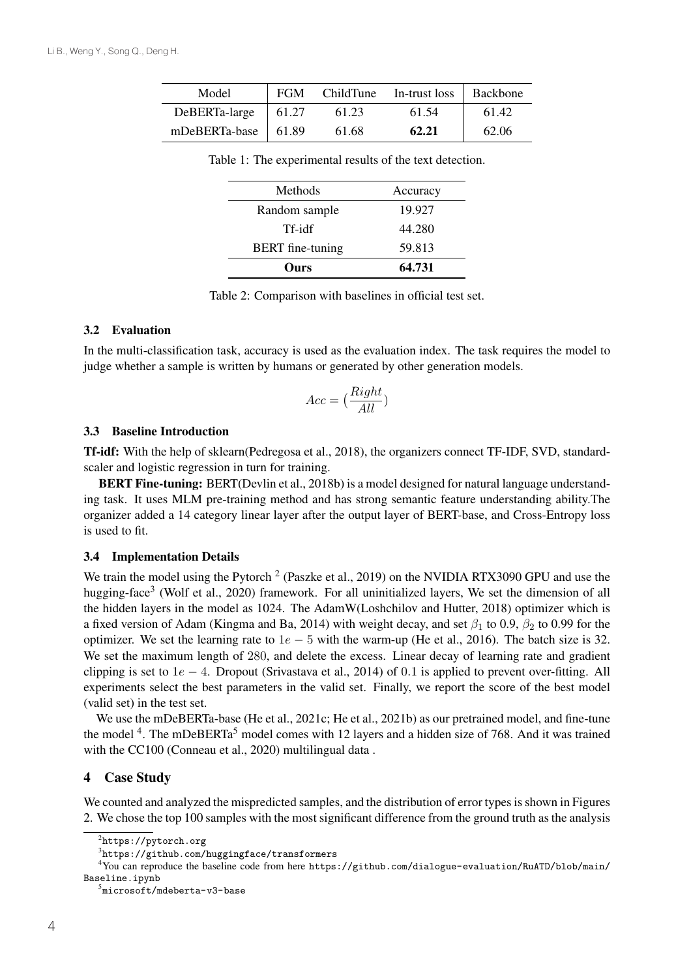| Model                   | <b>FGM</b>    |       | ChildTune In-trust loss   Backbone |       |
|-------------------------|---------------|-------|------------------------------------|-------|
| DeBERTa-large           | $\vert$ 61.27 | 61.23 | 61.54                              | 61.42 |
| mDeBERTa-base   $61.89$ |               | 61.68 | 62.21                              | 62.06 |

Table 1: The experimental results of the text detection.

| Methods                 | Accuracy |  |
|-------------------------|----------|--|
| Random sample           | 19.927   |  |
| Tf-idf                  | 44.280   |  |
| <b>BERT</b> fine-tuning | 59.813   |  |
| Ours                    | 64.731   |  |

Table 2: Comparison with baselines in official test set.

#### 3.2 Evaluation

In the multi-classification task, accuracy is used as the evaluation index. The task requires the model to judge whether a sample is written by humans or generated by other generation models.

$$
Acc = \big(\frac{Right}{All}\big)
$$

#### 3.3 Baseline Introduction

Tf-idf: With the help of sklearn(Pedregosa et al., 2018), the organizers connect TF-IDF, SVD, standardscaler and logistic regression in turn for training.

**BERT Fine-tuning:** BERT(Devlin et al., 2018b) is a model designed for natural language understanding task. It uses MLM pre-training method and has strong semantic feature understanding ability.The organizer added a 14 category linear layer after the output layer of BERT-base, and Cross-Entropy loss is used to fit.

#### 3.4 Implementation Details

We train the model using the Pytorch <sup>2</sup> (Paszke et al., 2019) on the NVIDIA RTX3090 GPU and use the hugging-face<sup>3</sup> (Wolf et al., 2020) framework. For all uninitialized layers, We set the dimension of all the hidden layers in the model as 1024. The AdamW(Loshchilov and Hutter, 2018) optimizer which is a fixed version of Adam (Kingma and Ba, 2014) with weight decay, and set  $\beta_1$  to 0.9,  $\beta_2$  to 0.99 for the optimizer. We set the learning rate to  $1e - 5$  with the warm-up (He et al., 2016). The batch size is 32. We set the maximum length of 280, and delete the excess. Linear decay of learning rate and gradient clipping is set to  $1e - 4$ . Dropout (Srivastava et al., 2014) of 0.1 is applied to prevent over-fitting. All experiments select the best parameters in the valid set. Finally, we report the score of the best model (valid set) in the test set.

We use the mDeBERTa-base (He et al., 2021c; He et al., 2021b) as our pretrained model, and fine-tune the model  $4$ . The mDeBERTa<sup>5</sup> model comes with 12 layers and a hidden size of 768. And it was trained with the CC100 (Conneau et al., 2020) multilingual data.

## 4 Case Study

We counted and analyzed the mispredicted samples, and the distribution of error types is shown in Figures 2. We chose the top 100 samples with the most significant difference from the ground truth as the analysis

 $^2$ https://pytorch.org

 $^3$ https://github.com/huggingface/transformers

<sup>4</sup> You can reproduce the baseline code from here https://github.com/dialogue-evaluation/RuATD/blob/main/ Baseline.ipynb

 $^5$ microsoft/mdeberta-v $3$ -base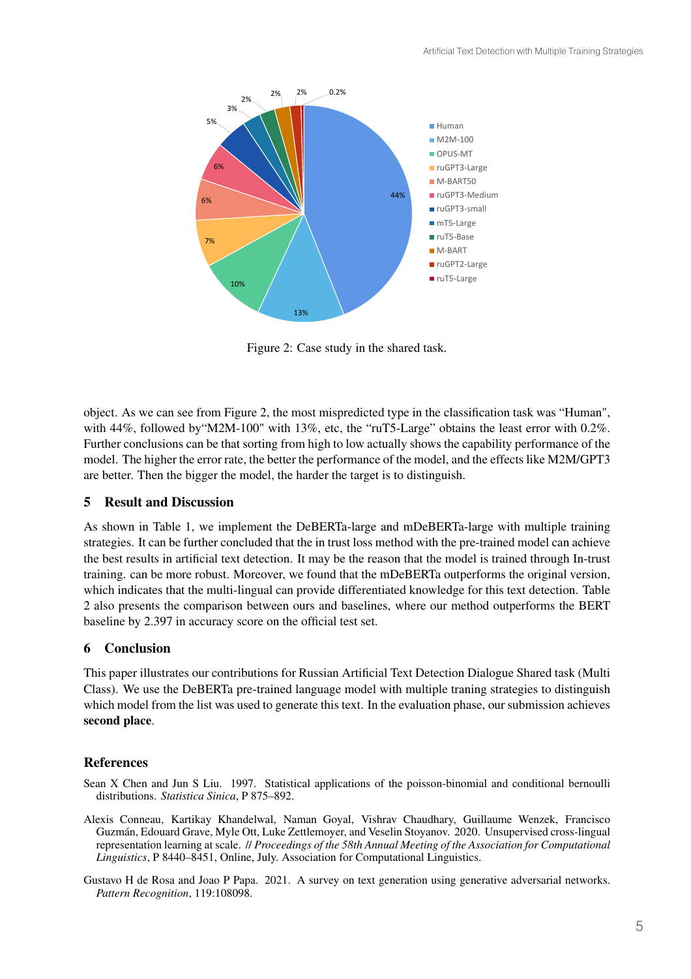

Figure 2: Case study in the shared task.

object. As we can see from Figure 2, the most mispredicted type in the classification task was "Human", with 44%, followed by "M2M-100" with 13%, etc, the "ruT5-Large" obtains the least error with 0.2%. Further conclusions can be that sorting from high to low actually shows the capability performance of the model. The higher the error rate, the better the performance of the model, and the effects like M2M/GPT3 are better. Then the bigger the model, the harder the target is to distinguish.

#### 5 Result and Discussion

As shown in Table 1, we implement the DeBERTa-large and mDeBERTa-large with multiple training strategies. It can be further concluded that the in trust loss method with the pre-trained model can achieve the best results in artificial text detection. It may be the reason that the model is trained through In-trust training. can be more robust. Moreover, we found that the mDeBERTa outperforms the original version, which indicates that the multi-lingual can provide differentiated knowledge for this text detection. Table 2 also presents the comparison between ours and baselines, where our method outperforms the BERT baseline by 2.397 in accuracy score on the official test set.

## 6 Conclusion

This paper illustrates our contributions for Russian Artificial Text Detection Dialogue Shared task (Multi Class). We use the DeBERTa pre-trained language model with multiple traning strategies to distinguish which model from the list was used to generate this text. In the evaluation phase, our submission achieves second place.

# References

- Sean X Chen and Jun S Liu. 1997. Statistical applications of the poisson-binomial and conditional bernoulli distributions. *Statistica Sinica*, P 875–892.
- Alexis Conneau, Kartikay Khandelwal, Naman Goyal, Vishrav Chaudhary, Guillaume Wenzek, Francisco Guzmán, Edouard Grave, Myle Ott, Luke Zettlemoyer, and Veselin Stoyanov. 2020. Unsupervised cross-lingual representation learning at scale. // *Proceedings of the 58th Annual Meeting of the Association for Computational Linguistics*, P 8440–8451, Online, July. Association for Computational Linguistics.
- Gustavo H de Rosa and Joao P Papa. 2021. A survey on text generation using generative adversarial networks. *Pattern Recognition*, 119:108098.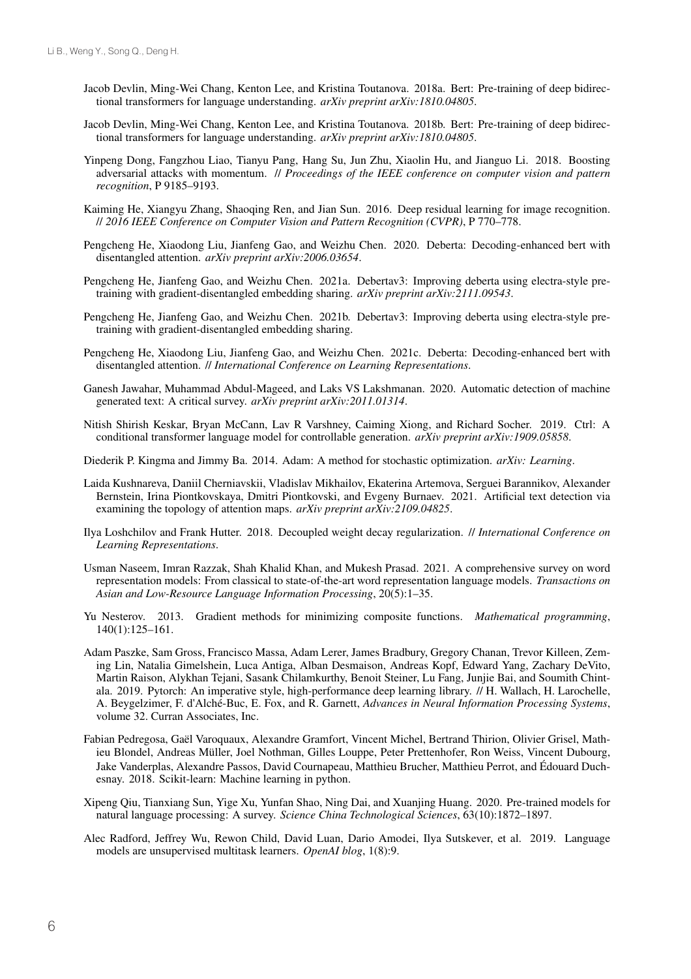- Jacob Devlin, Ming-Wei Chang, Kenton Lee, and Kristina Toutanova. 2018a. Bert: Pre-training of deep bidirectional transformers for language understanding. *arXiv preprint arXiv:1810.04805*.
- Jacob Devlin, Ming-Wei Chang, Kenton Lee, and Kristina Toutanova. 2018b. Bert: Pre-training of deep bidirectional transformers for language understanding. *arXiv preprint arXiv:1810.04805*.
- Yinpeng Dong, Fangzhou Liao, Tianyu Pang, Hang Su, Jun Zhu, Xiaolin Hu, and Jianguo Li. 2018. Boosting adversarial attacks with momentum. // *Proceedings of the IEEE conference on computer vision and pattern recognition*, P 9185–9193.
- Kaiming He, Xiangyu Zhang, Shaoqing Ren, and Jian Sun. 2016. Deep residual learning for image recognition. // *2016 IEEE Conference on Computer Vision and Pattern Recognition (CVPR)*, P 770–778.
- Pengcheng He, Xiaodong Liu, Jianfeng Gao, and Weizhu Chen. 2020. Deberta: Decoding-enhanced bert with disentangled attention. *arXiv preprint arXiv:2006.03654*.
- Pengcheng He, Jianfeng Gao, and Weizhu Chen. 2021a. Debertav3: Improving deberta using electra-style pretraining with gradient-disentangled embedding sharing. *arXiv preprint arXiv:2111.09543*.
- Pengcheng He, Jianfeng Gao, and Weizhu Chen. 2021b. Debertav3: Improving deberta using electra-style pretraining with gradient-disentangled embedding sharing.
- Pengcheng He, Xiaodong Liu, Jianfeng Gao, and Weizhu Chen. 2021c. Deberta: Decoding-enhanced bert with disentangled attention. // *International Conference on Learning Representations*.
- Ganesh Jawahar, Muhammad Abdul-Mageed, and Laks VS Lakshmanan. 2020. Automatic detection of machine generated text: A critical survey. *arXiv preprint arXiv:2011.01314*.
- Nitish Shirish Keskar, Bryan McCann, Lav R Varshney, Caiming Xiong, and Richard Socher. 2019. Ctrl: A conditional transformer language model for controllable generation. *arXiv preprint arXiv:1909.05858*.
- Diederik P. Kingma and Jimmy Ba. 2014. Adam: A method for stochastic optimization. *arXiv: Learning*.
- Laida Kushnareva, Daniil Cherniavskii, Vladislav Mikhailov, Ekaterina Artemova, Serguei Barannikov, Alexander Bernstein, Irina Piontkovskaya, Dmitri Piontkovski, and Evgeny Burnaev. 2021. Artificial text detection via examining the topology of attention maps. *arXiv preprint arXiv:2109.04825*.
- Ilya Loshchilov and Frank Hutter. 2018. Decoupled weight decay regularization. // *International Conference on Learning Representations*.
- Usman Naseem, Imran Razzak, Shah Khalid Khan, and Mukesh Prasad. 2021. A comprehensive survey on word representation models: From classical to state-of-the-art word representation language models. *Transactions on Asian and Low-Resource Language Information Processing*, 20(5):1–35.
- Yu Nesterov. 2013. Gradient methods for minimizing composite functions. *Mathematical programming*, 140(1):125–161.
- Adam Paszke, Sam Gross, Francisco Massa, Adam Lerer, James Bradbury, Gregory Chanan, Trevor Killeen, Zeming Lin, Natalia Gimelshein, Luca Antiga, Alban Desmaison, Andreas Kopf, Edward Yang, Zachary DeVito, Martin Raison, Alykhan Tejani, Sasank Chilamkurthy, Benoit Steiner, Lu Fang, Junjie Bai, and Soumith Chintala. 2019. Pytorch: An imperative style, high-performance deep learning library. // H. Wallach, H. Larochelle, A. Beygelzimer, F. d'Alché-Buc, E. Fox, and R. Garnett, *Advances in Neural Information Processing Systems*, volume 32. Curran Associates, Inc.
- Fabian Pedregosa, Gaël Varoquaux, Alexandre Gramfort, Vincent Michel, Bertrand Thirion, Olivier Grisel, Mathieu Blondel, Andreas Müller, Joel Nothman, Gilles Louppe, Peter Prettenhofer, Ron Weiss, Vincent Dubourg, Jake Vanderplas, Alexandre Passos, David Cournapeau, Matthieu Brucher, Matthieu Perrot, and Édouard Duchesnay. 2018. Scikit-learn: Machine learning in python.
- Xipeng Qiu, Tianxiang Sun, Yige Xu, Yunfan Shao, Ning Dai, and Xuanjing Huang. 2020. Pre-trained models for natural language processing: A survey. *Science China Technological Sciences*, 63(10):1872–1897.
- Alec Radford, Jeffrey Wu, Rewon Child, David Luan, Dario Amodei, Ilya Sutskever, et al. 2019. Language models are unsupervised multitask learners. *OpenAI blog*, 1(8):9.